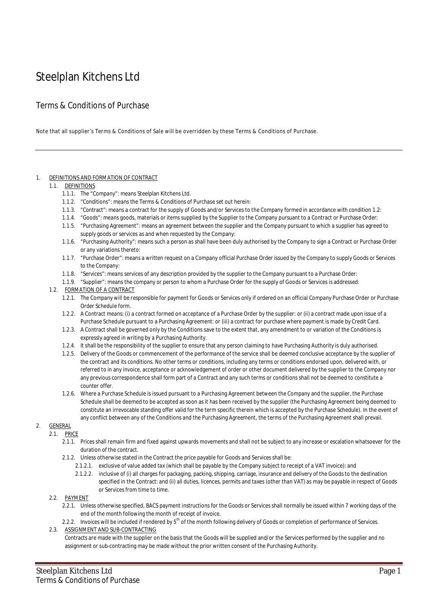# Steelplan Kitchens Ltd

# Terms & Conditions of Purchase

Note that all supplier's Terms & Conditions of Sale will be overridden by these Terms & Conditions of Purchase.

#### 1. DEFINITIONS AND FORMATION OF CONTRACT

#### 1.1. DEFINITIONS

- 1.1.1. The "Company": means Steelplan Kitchens Ltd.
- 1.1.2. "Conditions": means the Terms & Conditions of Purchase set out herein:
- 1.1.3. "Contract": means a contract for the supply of Goods and/or Services to the Company formed in accordance with condition 1.2:
- 1.1.4. "Goods": means goods, materials or items supplied by the Supplier to the Company pursuant to a Contract or Purchase Order:
- 1.1.5. "Purchasing Agreement": means an agreement between the supplier and the Company pursuant to which a supplier has agreed to supply goods or services as and when requested by the Company:
- 1.1.6. "Purchasing Authority": means such a person as shall have been duly authorised by the Company to sign a Contract or Purchase Order or any variations thereto:
- 1.1.7. "Purchase Order": means a written request on a Company official Purchase Order issued by the Company to supply Goods or Services to the Company:
- 1.1.8. "Services": means services of any description provided by the supplier to the Company pursuant to a Purchase Order:
- 1.1.9. "Supplier": means the company or person to whom a Purchase Order for the supply of Goods or Services is addressed:

#### 1.2. FORMATION OF A CONTRACT

- 1.2.1. The Company will be responsible for payment for Goods or Services only if ordered on an official Company Purchase Order or Purchase Order Schedule form.
- 1.2.2. A Contract means: (i) a contract formed on acceptance of a Purchase Order by the supplier: or (ii) a contract made upon issue of a Purchase Schedule pursuant to a Purchasing Agreement: or (iii) a contract for purchase where payment is made by Credit Card.
- 1.2.3. A Contract shall be governed only by the Conditions save to the extent that, any amendment to or variation of the Conditions is expressly agreed in writing by a Purchasing Authority.
- 1.2.4. It shall be the responsibility of the supplier to ensure that any person claiming to have Purchasing Authority is duly authorised.
- 1.2.5. Delivery of the Goods or commencement of the performance of the service shall be deemed conclusive acceptance by the supplier of the contract and its conditions. No other terms or conditions, including any terms or conditions endorsed upon, delivered with, or referred to in any invoice, acceptance or acknowledgement of order or other document delivered by the supplier to the Company nor any previous correspondence shall form part of a Contract and any such terms or conditions shall not be deemed to constitute a counter offer.
- 1.2.6. Where a Purchase Schedule is issued pursuant to a Purchasing Agreement between the Company and the supplier, the Purchase Schedule shall be deemed to be accepted as soon as it has been received by the supplier (the Purchasing Agreement being deemed to constitute an irrevocable standing offer valid for the term specific therein which is accepted by the Purchase Schedule). In the event of any conflict between any of the Conditions and the Purchasing Agreement, the terms of the Purchasing Agreement shall prevail.

## 2. GENERAL

- 2.1. PRICE
	- 2.1.1. Prices shall remain firm and fixed against upwards movements and shall not be subject to any increase or escalation whatsoever for the duration of the contract.
	- 2.1.2. Unless otherwise stated in the Contract the price payable for Goods and Services shall be:
		- 2.1.2.1. exclusive of value added tax (which shall be payable by the Company subject to receipt of a VAT invoice): and
		- 2.1.2.2. inclusive of (i) all charges for packaging, packing, shipping, carriage, insurance and delivery of the Goods to the destination specified in the Contract: and (ii) all duties, licences, permits and taxes (other than VAT) as may be payable in respect of Goods or Services from time to time.

#### 2.2. PAYMENT

- 2.2.1. Unless otherwise specified, BACS payment instructions for the Goods or Services shall normally be issued within 7 working days of the end of the month following the month of receipt of invoice.
- 2.2.2. Invoices will be included if rendered by 5<sup>th</sup> of the month following delivery of Goods or completion of performance of Services.

#### 2.3. ASSIGNMENT AND SUB-CONTRACTING

Contracts are made with the supplier on the basis that the Goods will be supplied and/or the Services performed by the supplier and no assignment or sub-contracting may be made without the prior written consent of the Purchasing Authority.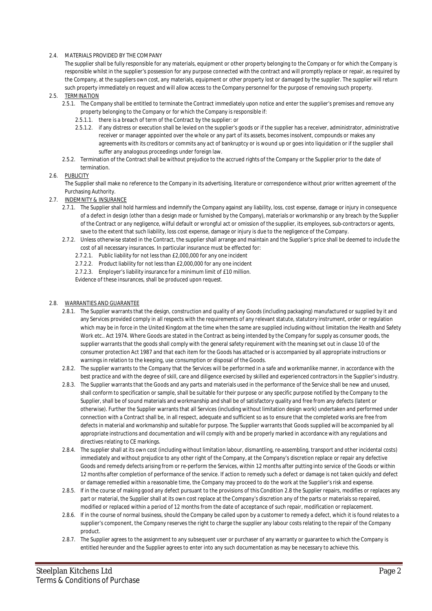#### 2.4. MATERIALS PROVIDED BY THE COMPANY

The supplier shall be fully responsible for any materials, equipment or other property belonging to the Company or for which the Company is responsible whilst in the supplier's possession for any purpose connected with the contract and will promptly replace or repair, as required by the Company, at the suppliers own cost, any materials, equipment or other property lost or damaged by the supplier. The supplier will return such property immediately on request and will allow access to the Company personnel for the purpose of removing such property.

#### 2.5. TERMINATION

- 2.5.1. The Company shall be entitled to terminate the Contract immediately upon notice and enter the supplier's premises and remove any property belonging to the Company or for which the Company is responsible if:
	- 2.5.1.1. there is a breach of term of the Contract by the supplier: or
	- 2.5.1.2. if any distress or execution shall be levied on the supplier's goods or if the supplier has a receiver, administrator, administrative receiver or manager appointed over the whole or any part of its assets, becomes insolvent, compounds or makes any agreements with its creditors or commits any act of bankruptcy or is wound up or goes into liquidation or if the supplier shall suffer any analogous proceedings under foreign law.
- 2.5.2. Termination of the Contract shall be without prejudice to the accrued rights of the Company or the Supplier prior to the date of termination.

#### 2.6. PUBLICITY

The Supplier shall make no reference to the Company in its advertising, literature or correspondence without prior written agreement of the Purchasing Authority.

- 2.7. INDEMNITY & INSURANCE
	- 2.7.1. The Supplier shall hold harmless and indemnify the Company against any liability, loss, cost expense, damage or injury in consequence of a defect in design (other than a design made or furnished by the Company), materials or workmanship or any breach by the Supplier of the Contract or any negligence, wilful default or wrongful act or omission of the supplier, its employees, sub-contractors or agents, save to the extent that such liability, loss cost expense, damage or injury is due to the negligence of the Company.
	- 2.7.2. Unless otherwise stated in the Contract, the supplier shall arrange and maintain and the Supplier's price shall be deemed to include the cost of all necessary insurances. In particular insurance must be effected for:
		- 2.7.2.1. Public liability for not less than £2,000,000 for any one incident
		- 2.7.2.2. Product liability for not less than £2,000,000 for any one incident
		- 2.7.2.3. Employer's liability insurance for a minimum limit of £10 million.

Evidence of these insurances, shall be produced upon request.

#### 2.8. WARRANTIES AND GUARANTEE

- 2.8.1. The Supplier warrants that the design, construction and quality of any Goods (including packaging) manufactured or supplied by it and any Services provided comply in all respects with the requirements of any relevant statute, statutory instrument, order or regulation which may be in force in the United Kingdom at the time when the same are supplied including without limitation the Health and Safety Work etc.. Act 1974. Where Goods are stated in the Contract as being intended by the Company for supply as consumer goods, the supplier warrants that the goods shall comply with the general safety requirement with the meaning set out in clause 10 of the consumer protection Act 1987 and that each item for the Goods has attached or is accompanied by all appropriate instructions or warnings in relation to the keeping, use consumption or disposal of the Goods.
- 2.8.2. The supplier warrants to the Company that the Services will be performed in a safe and workmanlike manner, in accordance with the best practice and with the degree of skill, care and diligence exercised by skilled and experienced contractors in the Supplier's industry.
- 2.8.3. The Supplier warrants that the Goods and any parts and materials used in the performance of the Service shall be new and unused, shall conform to specification or sample, shall be suitable for their purpose or any specific purpose notified by the Company to the Supplier, shall be of sound materials and workmanship and shall be of satisfactory quality and free from any defects (latent or otherwise). Further the Supplier warrants that all Services (including without limitation design work) undertaken and performed under connection with a Contract shall be, in all respect, adequate and sufficient so as to ensure that the completed works are free from defects in material and workmanship and suitable for purpose. The Supplier warrants that Goods supplied will be accompanied by all appropriate instructions and documentation and will comply with and be properly marked in accordance with any regulations and directives relating to CE markings.
- 2.8.4. The supplier shall at its own cost (including without limitation labour, dismantling, re-assembling, transport and other incidental costs) immediately and without prejudice to any other right of the Company, at the Company's discretion replace or repair any defective Goods and remedy defects arising from or re-perform the Services, within 12 months after putting into service of the Goods or within 12 months after completion of performance of the service. If action to remedy such a defect or damage is not taken quickly and defect or damage remedied within a reasonable time, the Company may proceed to do the work at the Supplier's risk and expense.
- 2.8.5. If in the course of making good any defect pursuant to the provisions of this Condition 2.8 the Supplier repairs, modifies or replaces any part or material, the Supplier shall at its own cost replace at the Company's discretion any of the parts or materials so repaired, modified or replaced within a period of 12 months from the date of acceptance of such repair, modification or replacement.
- 2.8.6. If in the course of normal business, should the Company be called upon by a customer to remedy a defect, which it is found relates to a supplier's component, the Company reserves the right to charge the supplier any labour costs relating to the repair of the Company product.
- 2.8.7. The Supplier agrees to the assignment to any subsequent user or purchaser of any warranty or guarantee to which the Company is entitled hereunder and the Supplier agrees to enter into any such documentation as may be necessary to achieve this.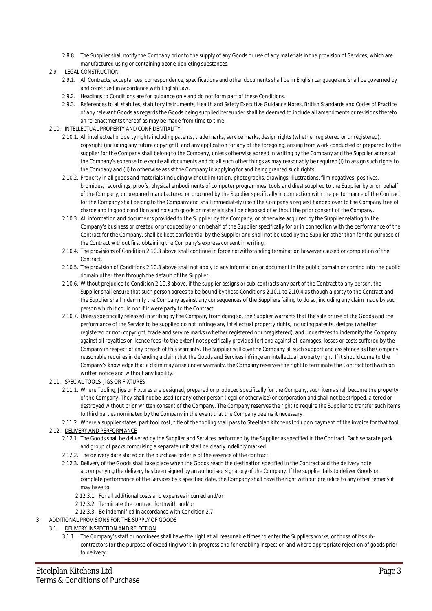2.8.8. The Supplier shall notify the Company prior to the supply of any Goods or use of any materials in the provision of Services, which are manufactured using or containing ozone-depleting substances.

#### 2.9. LEGAL CONSTRUCTION

- 2.9.1. All Contracts, acceptances, correspondence, specifications and other documents shall be in English Language and shall be governed by and construed in accordance with English Law.
- 2.9.2. Headings to Conditions are for guidance only and do not form part of these Conditions.
- 2.9.3. References to all statutes, statutory instruments, Health and Safety Executive Guidance Notes, British Standards and Codes of Practice of any relevant Goods as regards the Goods being supplied hereunder shall be deemed to include all amendments or revisions thereto an re-enactments thereof as may be made from time to time.

### 2.10. INTELLECTUAL PROPERTY AND CONFIDENTIALITY

- 2.10.1. All intellectual property rights including patents, trade marks, service marks, design rights (whether registered or unregistered), copyright (including any future copyright), and any application for any of the foregoing, arising from work conducted or prepared by the supplier for the Company shall belong to the Company, unless otherwise agreed in writing by the Company and the Supplier agrees at the Company's expense to execute all documents and do all such other things as may reasonably be required (i) to assign such rights to the Company and (ii) to otherwise assist the Company in applying for and being granted such rights.
- 2.10.2. Property in all goods and materials (including without limitation, photographs, drawings, illustrations, film negatives, positives, bromides, recordings, proofs, physical embodiments of computer programmes, tools and dies) supplied to the Supplier by or on behalf of the Company, or prepared manufactured or procured by the Supplier specifically in connection with the performance of the Contract for the Company shall belong to the Company and shall immediately upon the Company's request handed over to the Company free of charge and in good condition and no such goods or materials shall be disposed of without the prior consent of the Company.
- 2.10.3. All information and documents provided to the Supplier by the Company, or otherwise acquired by the Supplier relating to the Company's business or created or produced by or on behalf of the Supplier specifically for or in connection with the performance of the Contract for the Company, shall be kept confidential by the Supplier and shall not be used by the Supplier other than for the purpose of the Contract without first obtaining the Company's express consent in writing.
- 2.10.4. The provisions of Condition 2.10.3 above shall continue in force notwithstanding termination however caused or completion of the Contract.
- 2.10.5. The provision of Conditions 2.10.3 above shall not apply to any information or document in the public domain or coming into the public domain other than through the default of the Supplier.
- 2.10.6. Without prejudice to Condition 2.10.3 above, if the supplier assigns or sub-contracts any part of the Contract to any person, the Supplier shall ensure that such person agrees to be bound by these Conditions 2.10.1 to 2.10.4 as though a party to the Contract and the Supplier shall indemnify the Company against any consequences of the Suppliers failing to do so, including any claim made by such person which it could not if it were party to the Contract.
- 2.10.7. Unless specifically released in writing by the Company from doing so, the Supplier warrants that the sale or use of the Goods and the performance of the Service to be supplied do not infringe any intellectual property rights, including patents, designs (whether registered or not) copyright, trade and service marks (whether registered or unregistered), and undertakes to indemnify the Company against all royalties or licence fees (to the extent not specifically provided for) and against all damages, losses or costs suffered by the Company in respect of any breach of this warranty. The Supplier will give the Company all such support and assistance as the Company reasonable requires in defending a claim that the Goods and Services infringe an intellectual property right. If it should come to the Company's knowledge that a claim may arise under warranty, the Company reserves the right to terminate the Contract forthwith on written notice and without any liability.
- 2.11. SPECIAL TOOLS, JIGS OR FIXTURES
	- 2.11.1. Where Tooling, Jigs or Fixtures are designed, prepared or produced specifically for the Company, such items shall become the property of the Company. They shall not be used for any other person (legal or otherwise) or corporation and shall not be stripped, altered or destroyed without prior written consent of the Company. The Company reserves the right to require the Supplier to transfer such items to third parties nominated by the Company in the event that the Company deems it necessary.
	- 2.11.2. Where a supplier states, part tool cost, title of the tooling shall pass to Steelplan Kitchens Ltd upon payment of the invoice for that tool.

#### 2.12. DELIVERY AND PERFORMANCE

- 2.12.1. The Goods shall be delivered by the Supplier and Services performed by the Supplier as specified in the Contract. Each separate pack and group of packs comprising a separate unit shall be clearly indelibly marked.
- 2.12.2. The delivery date stated on the purchase order is of the essence of the contract.
- 2.12.3. Delivery of the Goods shall take place when the Goods reach the destination specified in the Contract and the delivery note accompanying the delivery has been signed by an authorised signatory of the Company. If the supplier fails to deliver Goods or complete performance of the Services by a specified date, the Company shall have the right without prejudice to any other remedy it may have to:
	- 2.12.3.1. For all additional costs and expenses incurred and/or
	- 2.12.3.2. Terminate the contract forthwith and/or
	- 2.12.3.3. Be indemnified in accordance with Condition 2.7
- 3. ADDITIONAL PROVISIONS FOR THE SUPPLY OF GOODS
	- 3.1. DELIVERY INSPECTION AND REJECTION
		- 3.1.1. The Company's staff or nominees shall have the right at all reasonable times to enter the Suppliers works, or those of its subcontractors for the purpose of expediting work-in-progress and for enabling inspection and where appropriate rejection of goods prior to delivery.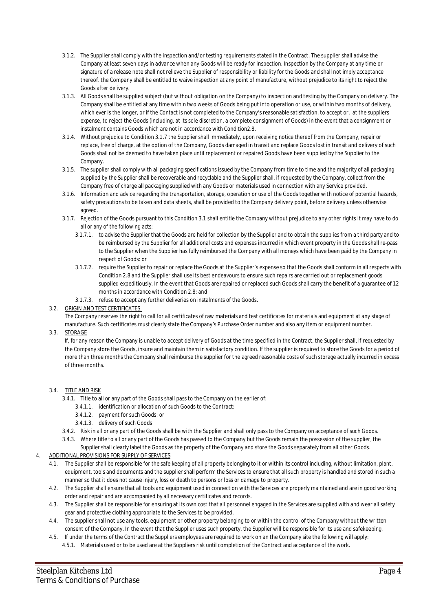- 3.1.2. The Supplier shall comply with the inspection and/or testing requirements stated in the Contract. The supplier shall advise the Company at least seven days in advance when any Goods will be ready for inspection. Inspection by the Company at any time or signature of a release note shall not relieve the Supplier of responsibility or liability for the Goods and shall not imply acceptance thereof. the Company shall be entitled to waive inspection at any point of manufacture, without prejudice to its right to reject the Goods after delivery.
- 3.1.3. All Goods shall be supplied subject (but without obligation on the Company) to inspection and testing by the Company on delivery. The Company shall be entitled at any time within two weeks of Goods being put into operation or use, or within two months of delivery, which ever is the longer, or if the Contact is not completed to the Company's reasonable satisfaction, to accept or, at the suppliers expense, to reject the Goods (including, at its sole discretion, a complete consignment of Goods) in the event that a consignment or instalment contains Goods which are not in accordance with Condition2.8.
- 3.1.4. Without prejudice to Condition 3.1.7 the Supplier shall immediately, upon receiving notice thereof from the Company, repair or replace, free of charge, at the option of the Company, Goods damaged in transit and replace Goods lost in transit and delivery of such Goods shall not be deemed to have taken place until replacement or repaired Goods have been supplied by the Supplier to the Company.
- 3.1.5. The supplier shall comply with all packaging specifications issued by the Company from time to time and the majority of all packaging supplied by the Supplier shall be recoverable and recyclable and the Supplier shall, if requested by the Company, collect from the Company free of charge all packaging supplied with any Goods or materials used in connection with any Service provided.
- 3.1.6. Information and advice regarding the transportation, storage, operation or use of the Goods together with notice of potential hazards, safety precautions to be taken and data sheets, shall be provided to the Company delivery point, before delivery unless otherwise agreed.
- 3.1.7. Rejection of the Goods pursuant to this Condition 3.1 shall entitle the Company without prejudice to any other rights it may have to do all or any of the following acts:
	- 3.1.7.1. to advise the Supplier that the Goods are held for collection by the Supplier and to obtain the supplies from a third party and to be reimbursed by the Supplier for all additional costs and expenses incurred in which event property in the Goods shall re-pass to the Supplier when the Supplier has fully reimbursed the Company with all moneys which have been paid by the Company in respect of Goods: or
	- 3.1.7.2. require the Supplier to repair or replace the Goods at the Supplier's expense so that the Goods shall conform in all respects with Condition 2.8 and the Supplier shall use its best endeavours to ensure such repairs are carried out or replacement goods supplied expeditiously. In the event that Goods are repaired or replaced such Goods shall carry the benefit of a guarantee of 12 months in accordance with Condition 2.8: and
	- 3.1.7.3. refuse to accept any further deliveries on instalments of the Goods.
- 3.2. ORIGIN AND TEST CERTIFICATES.

The Company reserves the right to call for all certificates of raw materials and test certificates for materials and equipment at any stage of manufacture. Such certificates must clearly state the Company's Purchase Order number and also any item or equipment number.

3.3. STORAGE

If, for any reason the Company is unable to accept delivery of Goods at the time specified in the Contract, the Supplier shall, if requested by the Company store the Goods, insure and maintain them in satisfactory condition. If the supplier is required to store the Goods for a period of more than three months the Company shall reimburse the supplier for the agreed reasonable costs of such storage actually incurred in excess of three months.

- 3.4. TITLE AND RISK
	- 3.4.1. Title to all or any part of the Goods shall pass to the Company on the earlier of:
		- 3.4.1.1. identification or allocation of such Goods to the Contract:
		- 3.4.1.2. payment for such Goods: or
		- 3.4.1.3. delivery of such Goods
	- 3.4.2. Risk in all or any part of the Goods shall be with the Supplier and shall only pass to the Company on acceptance of such Goods.
	- 3.4.3. Where title to all or any part of the Goods has passed to the Company but the Goods remain the possession of the supplier, the
- Supplier shall clearly label the Goods as the property of the Company and store the Goods separately from all other Goods.
- 4. ADDITIONAL PROVISIONS FOR SUPPLY OF SERVICES
	- 4.1. The Supplier shall be responsible for the safe keeping of all property belonging to it or within its control including, without limitation, plant, equipment, tools and documents and the supplier shall perform the Services to ensure that all such property is handled and stored in such a manner so that it does not cause injury, loss or death to persons or loss or damage to property.
	- 4.2. The Supplier shall ensure that all tools and equipment used in connection with the Services are properly maintained and are in good working order and repair and are accompanied by all necessary certificates and records.
	- 4.3. The Supplier shall be responsible for ensuring at its own cost that all personnel engaged in the Services are supplied with and wear all safety gear and protective clothing appropriate to the Services to be provided.
	- 4.4. The supplier shall not use any tools, equipment or other property belonging to or within the control of the Company without the written consent of the Company. In the event that the Supplier uses such property, the Supplier will be responsible for its use and safekeeping.
	- 4.5. If under the terms of the Contract the Suppliers employees are required to work on an the Company site the following will apply: 4.5.1. Materials used or to be used are at the Suppliers risk until completion of the Contract and acceptance of the work.